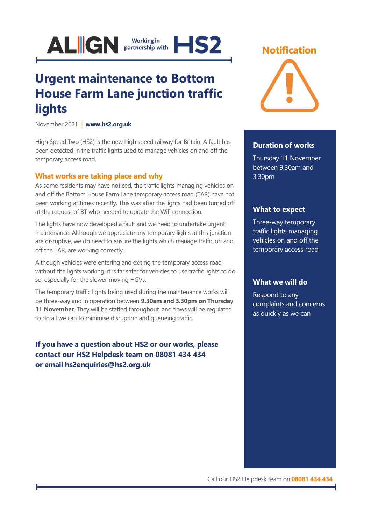

# **Urgent maintenance to Bottom House Farm Lane junction traffic lights**

November 2021 | **[www.hs2.org.uk](http://www.hs2.org.uk/)**

High Speed Two (HS2) is the new high speed railway for Britain. A fault has been detected in the traffic lights used to manage vehicles on and off the temporary access road.

### **What works are taking place and why**

As some residents may have noticed, the traffic lights managing vehicles on and off the Bottom House Farm Lane temporary access road (TAR) have not been working at times recently. This was after the lights had been turned off at the request of BT who needed to update the Wifi connection.

The lights have now developed a fault and we need to undertake urgent maintenance. Although we appreciate any temporary lights at this junction are disruptive, we do need to ensure the lights which manage traffic on and off the TAR, are working correctly.

Although vehicles were entering and exiting the temporary access road without the lights working, it is far safer for vehicles to use traffic lights to do so, especially for the slower moving HGVs.

The temporary traffic lights being used during the maintenance works will be three-way and in operation between **9.30am and 3.30pm on Thursday 11 November**. They will be staffed throughout, and flows will be regulated to do all we can to minimise disruption and queueing traffic.

**If you have a question about HS2 or our works, please contact our HS2 Helpdesk team on 08081 434 434 or email hs2enquiries@hs2.org.uk**

## **Notification**



#### **Duration of works**

Thursday 11 November between 9.30am and 3.30pm

#### **What to expect**

Three-way temporary traffic lights managing vehicles on and off the temporary access road

#### **What we will do**

Respond to any complaints and concerns as quickly as we can